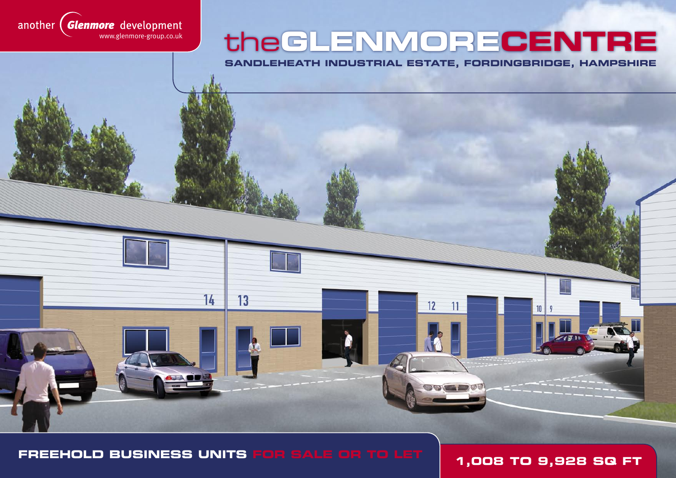

# the GLENMORECENTRE

SANDLEHEATH INDUSTRIAL ESTATE, FORDINGBRIDGE, HAMPSHIRE

 $12$ 

 $11$ 

FREEHOLD BUSINESS UNITS FOR SALE OR TO LET

 $14$ 

 $13$ 

**1,008 TO 9,928 SQ FT** 

 $10$   $9$